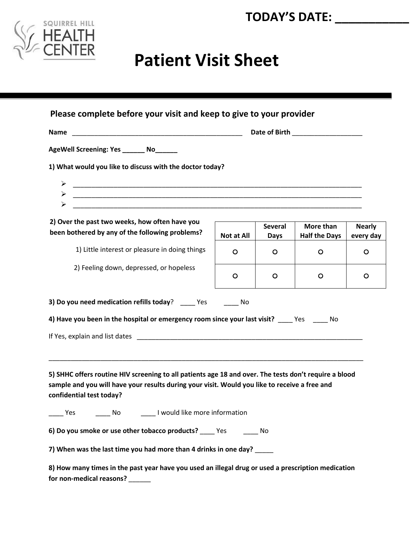



## **Patient Visit Sheet**

| Please complete before your visit and keep to give to your provider                                                                                                                                                                |            |                               |                                   |                            |
|------------------------------------------------------------------------------------------------------------------------------------------------------------------------------------------------------------------------------------|------------|-------------------------------|-----------------------------------|----------------------------|
|                                                                                                                                                                                                                                    |            |                               |                                   |                            |
| AgeWell Screening: Yes _______ No______                                                                                                                                                                                            |            |                               |                                   |                            |
| 1) What would you like to discuss with the doctor today?                                                                                                                                                                           |            |                               |                                   |                            |
|                                                                                                                                                                                                                                    |            |                               |                                   |                            |
| $\blacktriangleright$                                                                                                                                                                                                              |            |                               |                                   |                            |
| <u> 2000 - Jan James James James James James James James James James James James James James James James James J</u>                                                                                                               |            |                               |                                   |                            |
| 2) Over the past two weeks, how often have you<br>been bothered by any of the following problems?                                                                                                                                  | Not at All | <b>Several</b><br><b>Days</b> | More than<br><b>Half the Days</b> | <b>Nearly</b><br>every day |
| 1) Little interest or pleasure in doing things                                                                                                                                                                                     | O          | $\circ$                       | $\circ$                           | $\circ$                    |
| 2) Feeling down, depressed, or hopeless                                                                                                                                                                                            | O          | $\circ$                       | O                                 | O                          |
| 3) Do you need medication refills today? ______ Yes<br>4) Have you been in the hospital or emergency room since your last visit? _____Yes ______ No                                                                                | in No      |                               |                                   |                            |
| 5) SHHC offers routine HIV screening to all patients age 18 and over. The tests don't require a blood<br>sample and you will have your results during your visit. Would you like to receive a free and<br>confidential test today? |            |                               |                                   |                            |
| Yes ________ No __________ I would like more information                                                                                                                                                                           |            |                               |                                   |                            |
| 6) Do you smoke or use other tobacco products? _____ Yes                                                                                                                                                                           |            | in No                         |                                   |                            |
| 7) When was the last time you had more than 4 drinks in one day?<br>8) How many times in the past year have you used an illegal drug or used a prescription medication                                                             |            |                               |                                   |                            |
|                                                                                                                                                                                                                                    |            |                               |                                   |                            |

**for non-medical reasons?** \_\_\_\_\_\_